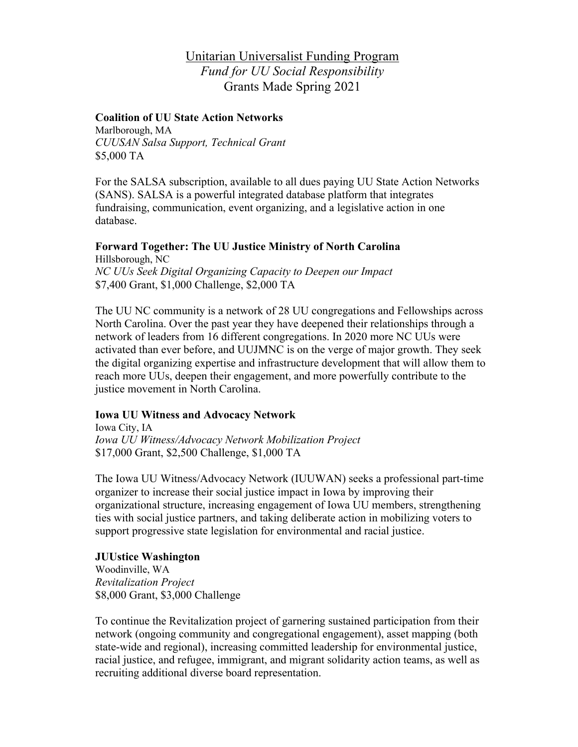# Unitarian Universalist Funding Program *Fund for UU Social Responsibility* Grants Made Spring 2021

## **Coalition of UU State Action Networks**

Marlborough, MA *CUUSAN Salsa Support, Technical Grant* \$5,000 TA

For the SALSA subscription, available to all dues paying UU State Action Networks (SANS). SALSA is a powerful integrated database platform that integrates fundraising, communication, event organizing, and a legislative action in one database.

#### **Forward Together: The UU Justice Ministry of North Carolina** Hillsborough, NC

*NC UUs Seek Digital Organizing Capacity to Deepen our Impact* \$7,400 Grant, \$1,000 Challenge, \$2,000 TA

The UU NC community is a network of 28 UU congregations and Fellowships across North Carolina. Over the past year they have deepened their relationships through a network of leaders from 16 different congregations. In 2020 more NC UUs were activated than ever before, and UUJMNC is on the verge of major growth. They seek the digital organizing expertise and infrastructure development that will allow them to reach more UUs, deepen their engagement, and more powerfully contribute to the justice movement in North Carolina.

## **Iowa UU Witness and Advocacy Network**

Iowa City, IA *Iowa UU Witness/Advocacy Network Mobilization Project* \$17,000 Grant, \$2,500 Challenge, \$1,000 TA

The Iowa UU Witness/Advocacy Network (IUUWAN) seeks a professional part-time organizer to increase their social justice impact in Iowa by improving their organizational structure, increasing engagement of Iowa UU members, strengthening ties with social justice partners, and taking deliberate action in mobilizing voters to support progressive state legislation for environmental and racial justice.

#### **JUUstice Washington**

Woodinville, WA *Revitalization Project* \$8,000 Grant, \$3,000 Challenge

To continue the Revitalization project of garnering sustained participation from their network (ongoing community and congregational engagement), asset mapping (both state-wide and regional), increasing committed leadership for environmental justice, racial justice, and refugee, immigrant, and migrant solidarity action teams, as well as recruiting additional diverse board representation.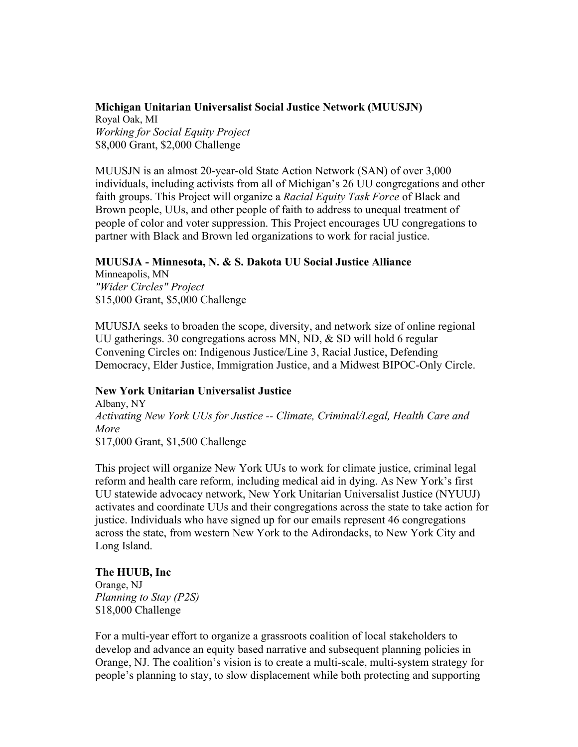## **Michigan Unitarian Universalist Social Justice Network (MUUSJN)**

Royal Oak, MI *Working for Social Equity Project* \$8,000 Grant, \$2,000 Challenge

MUUSJN is an almost 20-year-old State Action Network (SAN) of over 3,000 individuals, including activists from all of Michigan's 26 UU congregations and other faith groups. This Project will organize a *Racial Equity Task Force* of Black and Brown people, UUs, and other people of faith to address to unequal treatment of people of color and voter suppression. This Project encourages UU congregations to partner with Black and Brown led organizations to work for racial justice.

## **MUUSJA - Minnesota, N. & S. Dakota UU Social Justice Alliance**

Minneapolis, MN *"Wider Circles" Project* \$15,000 Grant, \$5,000 Challenge

MUUSJA seeks to broaden the scope, diversity, and network size of online regional UU gatherings. 30 congregations across MN, ND, & SD will hold 6 regular Convening Circles on: Indigenous Justice/Line 3, Racial Justice, Defending Democracy, Elder Justice, Immigration Justice, and a Midwest BIPOC-Only Circle.

## **New York Unitarian Universalist Justice**

Albany, NY *Activating New York UUs for Justice -- Climate, Criminal/Legal, Health Care and More* \$17,000 Grant, \$1,500 Challenge

This project will organize New York UUs to work for climate justice, criminal legal reform and health care reform, including medical aid in dying. As New York's first UU statewide advocacy network, New York Unitarian Universalist Justice (NYUUJ) activates and coordinate UUs and their congregations across the state to take action for justice. Individuals who have signed up for our emails represent 46 congregations across the state, from western New York to the Adirondacks, to New York City and Long Island.

## **The HUUB, Inc**

Orange, NJ *Planning to Stay (P2S)* \$18,000 Challenge

For a multi-year effort to organize a grassroots coalition of local stakeholders to develop and advance an equity based narrative and subsequent planning policies in Orange, NJ. The coalition's vision is to create a multi-scale, multi-system strategy for people's planning to stay, to slow displacement while both protecting and supporting